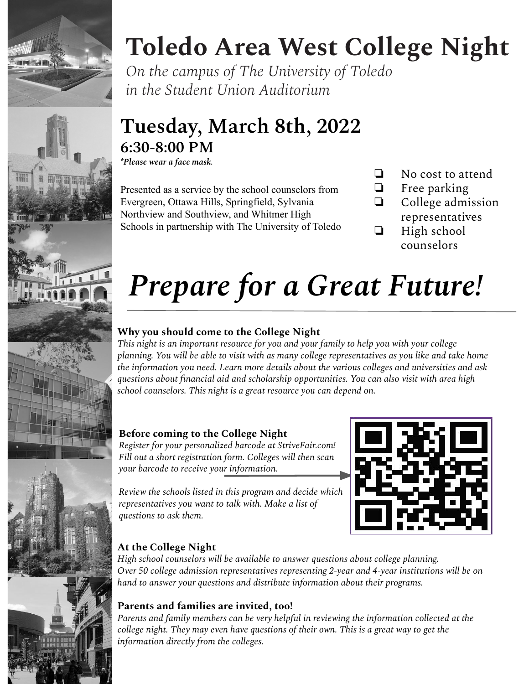



# **Toledo Area West College Night**

*On the campus of The University of Toledo in the Student Union Auditorium*

# **Tuesday, March 8th, 2022 6:30-8:00 PM**

*\*Please wear a face mask.*

Presented as a service by the school counselors from Evergreen, Ottawa Hills, Springfield, Sylvania Northview and Southview, and Whitmer High Schools in partnership with The University of Toledo

- ❏ No cost to attend
- ❏ Free parking
- ❏ College admission representatives
- ❏ High school counselors

# *Prepare for a Great Future!*

## **Why you should come to the College Night**

*This night is an important resource for you and your family to help you with your college planning. You will be able to visit with as many college representatives as you like and take home the information you need. Learn more details about the various colleges and universities and ask questions about financial aid and scholarship opportunities. You can also visit with area high school counselors. This night is a great resource you can depend on.*

## **Before coming to the College Night**

*Register for your personalized barcode at StriveFair.com! Fill out a short registration form. Colleges will then scan your barcode to receive your information.* 

*Review the schools listed in this program and decide which representatives you want to talk with. Make a list of questions to ask them.*



## **At the College Night**

*High school counselors will be available to answer questions about college planning. Over 50 college admission representatives representing 2-year and 4-year institutions will be on hand to answer your questions and distribute information about their programs.*

## **Parents and families are invited, too!**

*Parents and family members can be very helpful in reviewing the information collected at the college night. They may even have questions of their own. This is a great way to get the information directly from the colleges.*